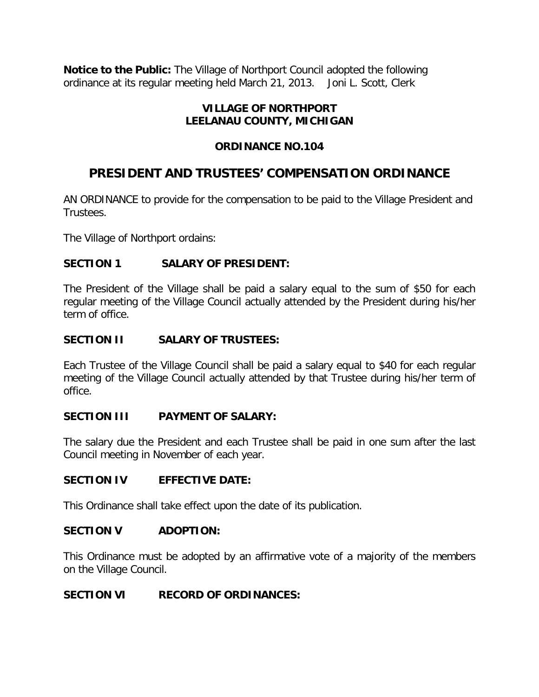**Notice to the Public:** The Village of Northport Council adopted the following ordinance at its regular meeting held March 21, 2013. Joni L. Scott, Clerk

# **VILLAGE OF NORTHPORT LEELANAU COUNTY, MICHIGAN**

# **ORDINANCE NO.104**

# **PRESIDENT AND TRUSTEES' COMPENSATION ORDINANCE**

AN ORDINANCE to provide for the compensation to be paid to the Village President and Trustees.

The Village of Northport ordains:

## **SECTION 1 SALARY OF PRESIDENT:**

The President of the Village shall be paid a salary equal to the sum of \$50 for each regular meeting of the Village Council actually attended by the President during his/her term of office.

### **SECTION II SALARY OF TRUSTEES:**

Each Trustee of the Village Council shall be paid a salary equal to \$40 for each regular meeting of the Village Council actually attended by that Trustee during his/her term of office.

## **SECTION III PAYMENT OF SALARY:**

The salary due the President and each Trustee shall be paid in one sum after the last Council meeting in November of each year.

#### **SECTION IV EFFECTIVE DATE:**

This Ordinance shall take effect upon the date of its publication.

#### **SECTION V ADOPTION:**

This Ordinance must be adopted by an affirmative vote of a majority of the members on the Village Council.

#### **SECTION VI RECORD OF ORDINANCES:**